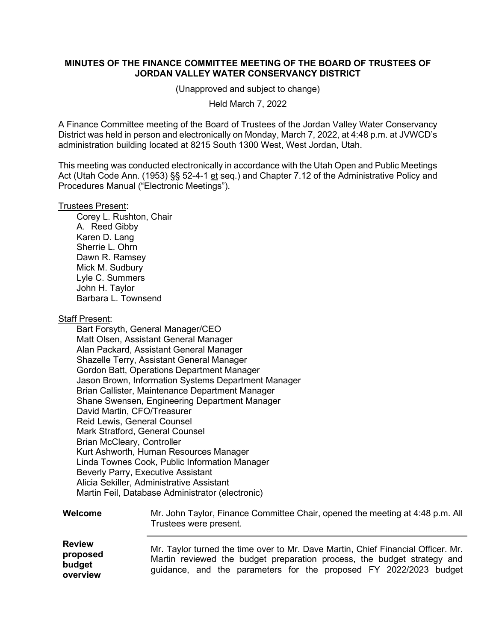## **MINUTES OF THE FINANCE COMMITTEE MEETING OF THE BOARD OF TRUSTEES OF JORDAN VALLEY WATER CONSERVANCY DISTRICT**

(Unapproved and subject to change)

Held March 7, 2022

A Finance Committee meeting of the Board of Trustees of the Jordan Valley Water Conservancy District was held in person and electronically on Monday, March 7, 2022, at 4:48 p.m. at JVWCD's administration building located at 8215 South 1300 West, West Jordan, Utah.

This meeting was conducted electronically in accordance with the Utah Open and Public Meetings Act (Utah Code Ann. (1953) §§ 52-4-1 et seq.) and Chapter 7.12 of the Administrative Policy and Procedures Manual ("Electronic Meetings").

## Trustees Present:

Corey L. Rushton, Chair A. Reed Gibby Karen D. Lang Sherrie L. Ohrn Dawn R. Ramsey Mick M. Sudbury Lyle C. Summers John H. Taylor Barbara L. Townsend

## Staff Present:

Bart Forsyth, General Manager/CEO Matt Olsen, Assistant General Manager Alan Packard, Assistant General Manager Shazelle Terry, Assistant General Manager Gordon Batt, Operations Department Manager Jason Brown, Information Systems Department Manager Brian Callister, Maintenance Department Manager Shane Swensen, Engineering Department Manager David Martin, CFO/Treasurer Reid Lewis, General Counsel Mark Stratford, General Counsel Brian McCleary, Controller Kurt Ashworth, Human Resources Manager Linda Townes Cook, Public Information Manager Beverly Parry, Executive Assistant Alicia Sekiller, Administrative Assistant Martin Feil, Database Administrator (electronic)

## **Welcome** Mr. John Taylor, Finance Committee Chair, opened the meeting at 4:48 p.m. All Trustees were present.

| <b>Review</b>      | Mr. Taylor turned the time over to Mr. Dave Martin, Chief Financial Officer. Mr.                                                             |
|--------------------|----------------------------------------------------------------------------------------------------------------------------------------------|
| proposed<br>budget | Martin reviewed the budget preparation process, the budget strategy and<br>guidance, and the parameters for the proposed FY 2022/2023 budget |
| overview           |                                                                                                                                              |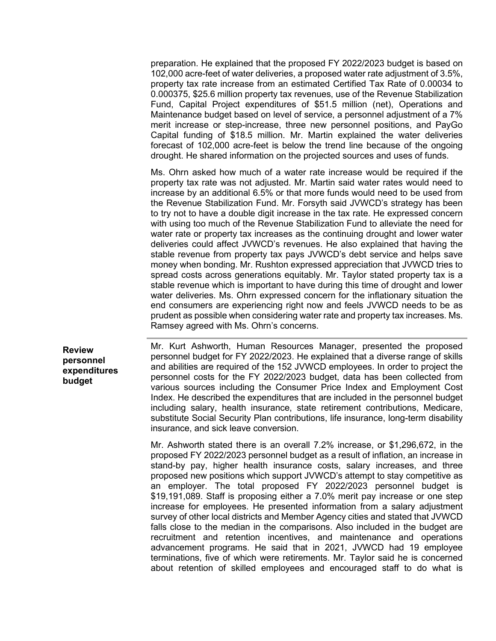preparation. He explained that the proposed FY 2022/2023 budget is based on 102,000 acre-feet of water deliveries, a proposed water rate adjustment of 3.5%, property tax rate increase from an estimated Certified Tax Rate of 0.00034 to 0.000375, \$25.6 million property tax revenues, use of the Revenue Stabilization Fund, Capital Project expenditures of \$51.5 million (net), Operations and Maintenance budget based on level of service, a personnel adjustment of a 7% merit increase or step-increase, three new personnel positions, and PayGo Capital funding of \$18.5 million. Mr. Martin explained the water deliveries forecast of 102,000 acre-feet is below the trend line because of the ongoing drought. He shared information on the projected sources and uses of funds.

Ms. Ohrn asked how much of a water rate increase would be required if the property tax rate was not adjusted. Mr. Martin said water rates would need to increase by an additional 6.5% or that more funds would need to be used from the Revenue Stabilization Fund. Mr. Forsyth said JVWCD's strategy has been to try not to have a double digit increase in the tax rate. He expressed concern with using too much of the Revenue Stabilization Fund to alleviate the need for water rate or property tax increases as the continuing drought and lower water deliveries could affect JVWCD's revenues. He also explained that having the stable revenue from property tax pays JVWCD's debt service and helps save money when bonding. Mr. Rushton expressed appreciation that JVWCD tries to spread costs across generations equitably. Mr. Taylor stated property tax is a stable revenue which is important to have during this time of drought and lower water deliveries. Ms. Ohrn expressed concern for the inflationary situation the end consumers are experiencing right now and feels JVWCD needs to be as prudent as possible when considering water rate and property tax increases. Ms. Ramsey agreed with Ms. Ohrn's concerns.

**Review personnel expenditures budget**

Mr. Kurt Ashworth, Human Resources Manager, presented the proposed personnel budget for FY 2022/2023. He explained that a diverse range of skills and abilities are required of the 152 JVWCD employees. In order to project the personnel costs for the FY 2022/2023 budget, data has been collected from various sources including the Consumer Price Index and Employment Cost Index. He described the expenditures that are included in the personnel budget including salary, health insurance, state retirement contributions, Medicare, substitute Social Security Plan contributions, life insurance, long-term disability insurance, and sick leave conversion.

Mr. Ashworth stated there is an overall 7.2% increase, or \$1,296,672, in the proposed FY 2022/2023 personnel budget as a result of inflation, an increase in stand-by pay, higher health insurance costs, salary increases, and three proposed new positions which support JVWCD's attempt to stay competitive as an employer. The total proposed FY 2022/2023 personnel budget is \$19,191,089. Staff is proposing either a 7.0% merit pay increase or one step increase for employees. He presented information from a salary adjustment survey of other local districts and Member Agency cities and stated that JVWCD falls close to the median in the comparisons. Also included in the budget are recruitment and retention incentives, and maintenance and operations advancement programs. He said that in 2021, JVWCD had 19 employee terminations, five of which were retirements. Mr. Taylor said he is concerned about retention of skilled employees and encouraged staff to do what is